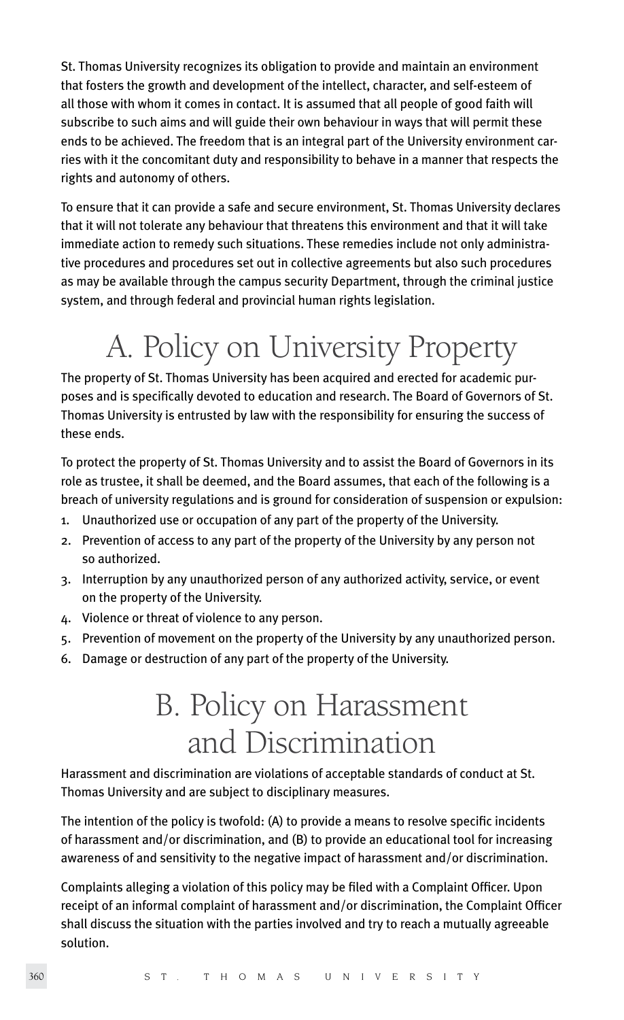St. Thomas University recognizes its obligation to provide and maintain an environment that fosters the growth and development of the intellect, character, and self-esteem of all those with whom it comes in contact. It is assumed that all people of good faith will subscribe to such aims and will guide their own behaviour in ways that will permit these ends to be achieved. The freedom that is an integral part of the University environment carries with it the concomitant duty and responsibility to behave in a manner that respects the rights and autonomy of others.

To ensure that it can provide a safe and secure environment, St. Thomas University declares that it will not tolerate any behaviour that threatens this environment and that it will take immediate action to remedy such situations. These remedies include not only administrative procedures and procedures set out in collective agreements but also such procedures as may be available through the campus security Department, through the criminal justice system, and through federal and provincial human rights legislation.

## A. Policy on University Property

The property of St. Thomas University has been acquired and erected for academic purposes and is specifically devoted to education and research. The Board of Governors of St. Thomas University is entrusted by law with the responsibility for ensuring the success of these ends.

To protect the property of St. Thomas University and to assist the Board of Governors in its role as trustee, it shall be deemed, and the Board assumes, that each of the following is a breach of university regulations and is ground for consideration of suspension or expulsion:

- 1. Unauthorized use or occupation of any part of the property of the University.
- 2. Prevention of access to any part of the property of the University by any person not so authorized.
- 3. Interruption by any unauthorized person of any authorized activity, service, or event on the property of the University.
- 4. Violence or threat of violence to any person.
- 5. Prevention of movement on the property of the University by any unauthorized person.
- 6. Damage or destruction of any part of the property of the University.

## B. Policy on Harassment and Discrimination

Harassment and discrimination are violations of acceptable standards of conduct at St. Thomas University and are subject to disciplinary measures.

The intention of the policy is twofold: (A) to provide a means to resolve specific incidents of harassment and/or discrimination, and (B) to provide an educational tool for increasing awareness of and sensitivity to the negative impact of harassment and/or discrimination.

Complaints alleging a violation of this policy may be filed with a Complaint Officer. Upon receipt of an informal complaint of harassment and/or discrimination, the Complaint Officer shall discuss the situation with the parties involved and try to reach a mutually agreeable solution.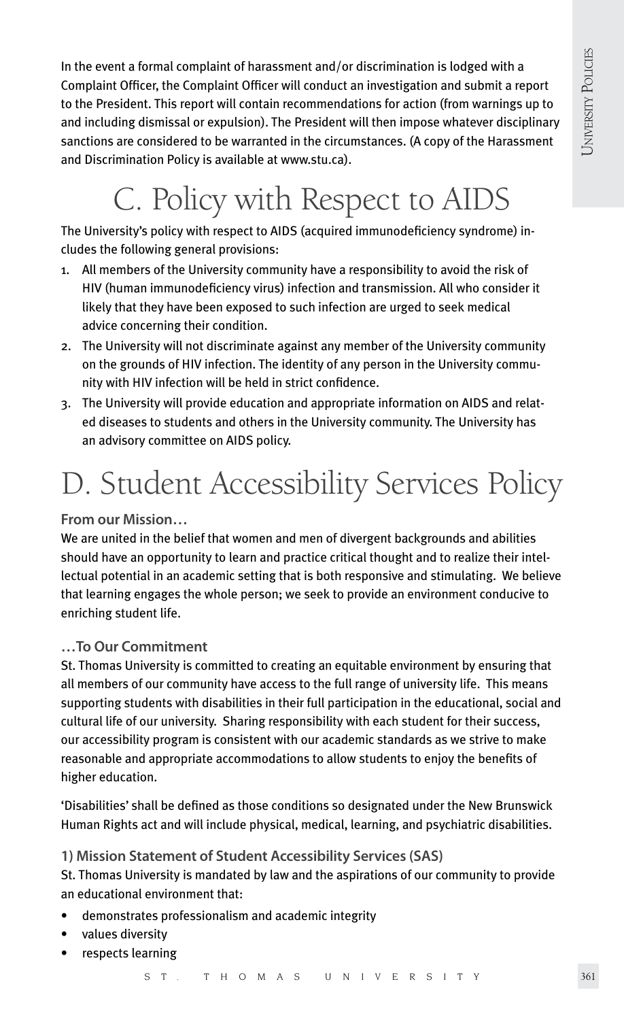In the event a formal complaint of harassment and/or discrimination is lodged with a Complaint Officer, the Complaint Officer will conduct an investigation and submit a report to the President. This report will contain recommendations for action (from warnings up to and including dismissal or expulsion). The President will then impose whatever disciplinary sanctions are considered to be warranted in the circumstances. (A copy of the Harassment and Discrimination Policy is available at www.stu.ca).

## C. Policy with Respect to AIDS

The University's policy with respect to AIDS (acquired immunodeficiency syndrome) includes the following general provisions:

- 1. All members of the University community have a responsibility to avoid the risk of HIV (human immunodeficiency virus) infection and transmission. All who consider it likely that they have been exposed to such infection are urged to seek medical advice concerning their condition.
- 2. The University will not discriminate against any member of the University community on the grounds of HIV infection. The identity of any person in the University community with HIV infection will be held in strict confidence.
- 3. The University will provide education and appropriate information on AIDS and related diseases to students and others in the University community. The University has an advisory committee on AIDS policy.

## D. Student Accessibility Services Policy

**From our Mission…** 

We are united in the belief that women and men of divergent backgrounds and abilities should have an opportunity to learn and practice critical thought and to realize their intellectual potential in an academic setting that is both responsive and stimulating. We believe that learning engages the whole person; we seek to provide an environment conducive to enriching student life.

#### **…To Our Commitment**

St. Thomas University is committed to creating an equitable environment by ensuring that all members of our community have access to the full range of university life. This means supporting students with disabilities in their full participation in the educational, social and cultural life of our university. Sharing responsibility with each student for their success, our accessibility program is consistent with our academic standards as we strive to make reasonable and appropriate accommodations to allow students to enjoy the benefits of higher education.

'Disabilities' shall be defined as those conditions so designated under the New Brunswick Human Rights act and will include physical, medical, learning, and psychiatric disabilities.

#### **1) Mission Statement of Student Accessibility Services (SAS)**

St. Thomas University is mandated by law and the aspirations of our community to provide an educational environment that:

- demonstrates professionalism and academic integrity
- values diversity
- respects learning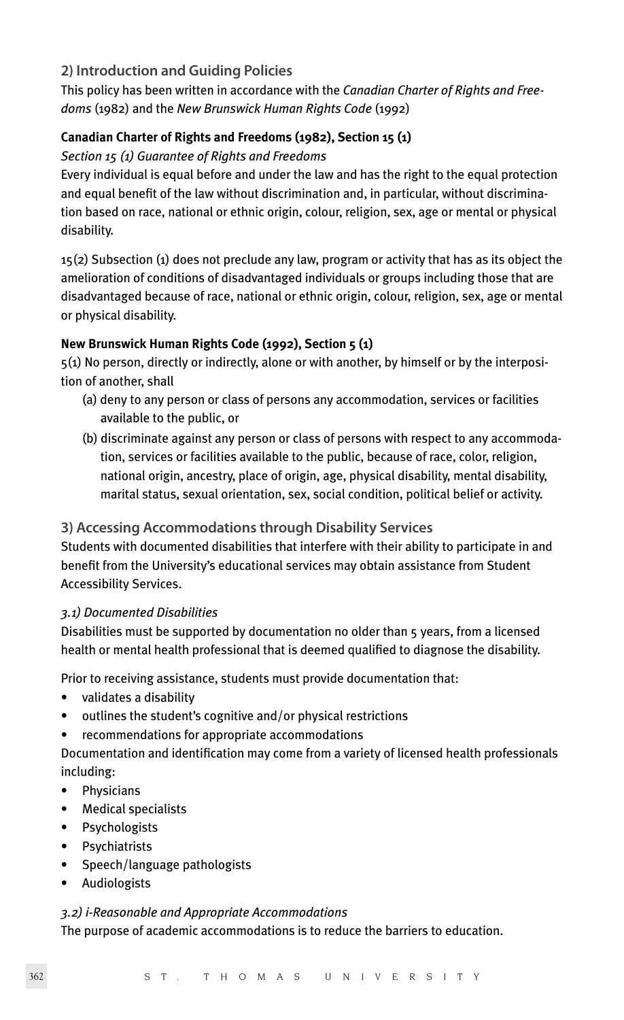### **2) Introduction and Guiding Policies**

This policy has been written in accordance with the *Canadian Charter of Rights and Freedoms* (1982) and the *New Brunswick Human Rights Code* (1992)

#### **Canadian Charter of Rights and Freedoms (1982), Section 15 (1)**

#### *Section 15 (1) Guarantee of Rights and Freedoms*

Every individual is equal before and under the law and has the right to the equal protection and equal benefit of the law without discrimination and, in particular, without discrimination based on race, national or ethnic origin, colour, religion, sex, age or mental or physical disability.

15(2) Subsection (1) does not preclude any law, program or activity that has as its object the amelioration of conditions of disadvantaged individuals or groups including those that are disadvantaged because of race, national or ethnic origin, colour, religion, sex, age or mental or physical disability.

#### **New Brunswick Human Rights Code (1992), Section 5 (1)**

5(1) No person, directly or indirectly, alone or with another, by himself or by the interposition of another, shall

- (a) deny to any person or class of persons any accommodation, services or facilities available to the public, or
- (b) discriminate against any person or class of persons with respect to any accommoda tion, services or facilities available to the public, because of race, color, religion, national origin, ancestry, place of origin, age, physical disability, mental disability, marital status, sexual orientation, sex, social condition, political belief or activity.

#### **3) Accessing Accommodations through Disability Services**

Students with documented disabilities that interfere with their ability to participate in and benefit from the University's educational services may obtain assistance from Student Accessibility Services.

#### *3.1) Documented Disabilities*

Disabilities must be supported by documentation no older than 5 years, from a licensed health or mental health professional that is deemed qualified to diagnose the disability.

Prior to receiving assistance, students must provide documentation that:

- validates a disability
- outlines the student's cognitive and/or physical restrictions
- recommendations for appropriate accommodations

Documentation and identification may come from a variety of licensed health professionals including:

- Physicians
- Medical specialists
- Psychologists
- **Psychiatrists**
- Speech/language pathologists
- Audiologists

#### *3.2) i-Reasonable and Appropriate Accommodations*

The purpose of academic accommodations is to reduce the barriers to education.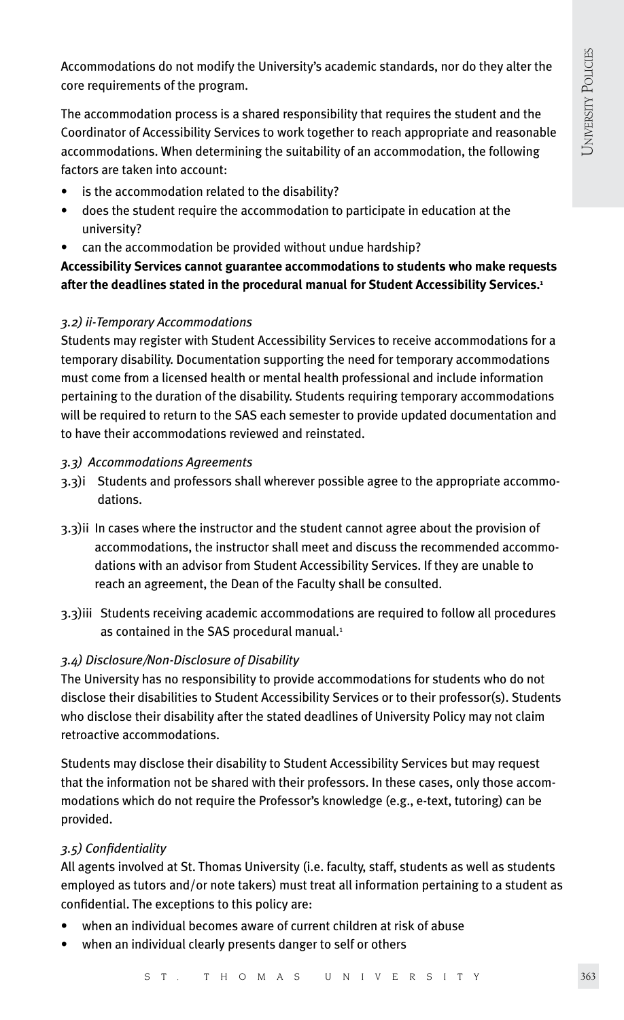Accommodations do not modify the University's academic standards, nor do they alter the core requirements of the program.

The accommodation process is a shared responsibility that requires the student and the Coordinator of Accessibility Services to work together to reach appropriate and reasonable accommodations. When determining the suitability of an accommodation, the following factors are taken into account:

- is the accommodation related to the disability?
- does the student require the accommodation to participate in education at the university?
- can the accommodation be provided without undue hardship?

**Accessibility Services cannot guarantee accommodations to students who make requests after the deadlines stated in the procedural manual for Student Accessibility Services.1**

#### *3.2) ii-Temporary Accommodations*

Students may register with Student Accessibility Services to receive accommodations for a temporary disability. Documentation supporting the need for temporary accommodations must come from a licensed health or mental health professional and include information pertaining to the duration of the disability. Students requiring temporary accommodations will be required to return to the SAS each semester to provide updated documentation and to have their accommodations reviewed and reinstated.

#### *3.3) Accommodations Agreements*

- 3.3)i Students and professors shall wherever possible agree to the appropriate accommo dations.
- 3.3)ii In cases where the instructor and the student cannot agree about the provision of accommodations, the instructor shall meet and discuss the recommended accommo dations with an advisor from Student Accessibility Services. If they are unable to reach an agreement, the Dean of the Faculty shall be consulted.
- 3.3)iii Students receiving academic accommodations are required to follow all procedures as contained in the SAS procedural manual.<sup>1</sup>

#### *3.4) Disclosure/Non-Disclosure of Disability*

The University has no responsibility to provide accommodations for students who do not disclose their disabilities to Student Accessibility Services or to their professor(s). Students who disclose their disability after the stated deadlines of University Policy may not claim retroactive accommodations.

Students may disclose their disability to Student Accessibility Services but may request that the information not be shared with their professors. In these cases, only those accommodations which do not require the Professor's knowledge (e.g., e-text, tutoring) can be provided.

#### *3.5) Confidentiality*

All agents involved at St. Thomas University (i.e. faculty, staff, students as well as students employed as tutors and/or note takers) must treat all information pertaining to a student as confidential. The exceptions to this policy are:

- when an individual becomes aware of current children at risk of abuse
- when an individual clearly presents danger to self or others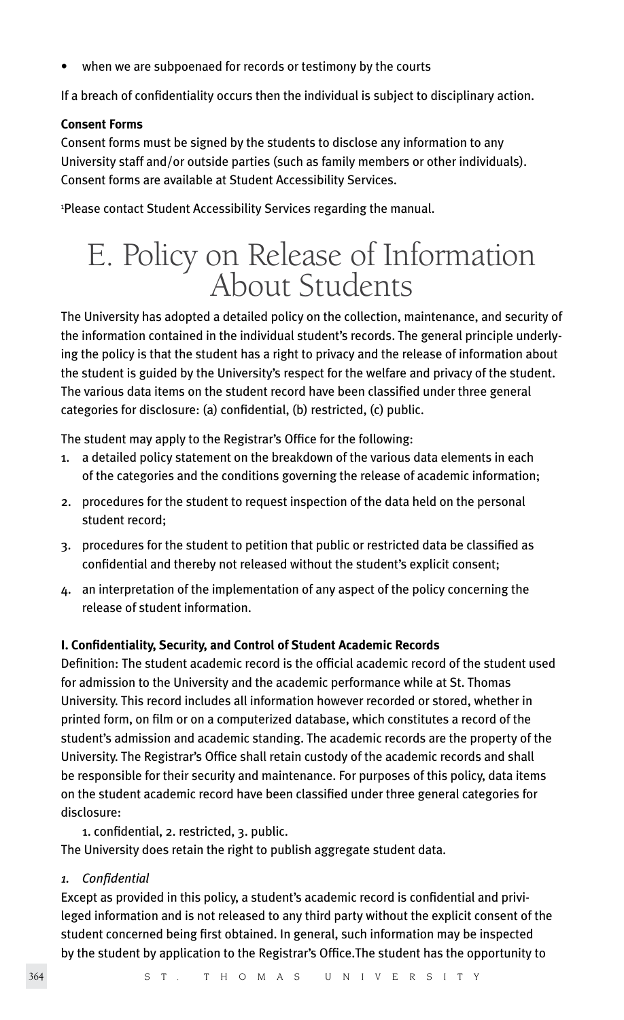when we are subpoenaed for records or testimony by the courts

If a breach of confidentiality occurs then the individual is subject to disciplinary action.

#### **Consent Forms**

Consent forms must be signed by the students to disclose any information to any University staff and/or outside parties (such as family members or other individuals). Consent forms are available at Student Accessibility Services.

1 Please contact Student Accessibility Services regarding the manual.

# E. Policy on Release of Information About Students

The University has adopted a detailed policy on the collection, maintenance, and security of the information contained in the individual student's records. The general principle underlying the policy is that the student has a right to privacy and the release of information about the student is guided by the University's respect for the welfare and privacy of the student. The various data items on the student record have been classified under three general categories for disclosure: (a) confidential, (b) restricted, (c) public.

The student may apply to the Registrar's Office for the following:

- 1. a detailed policy statement on the breakdown of the various data elements in each of the categories and the conditions governing the release of academic information;
- 2. procedures for the student to request inspection of the data held on the personal student record;
- 3. procedures for the student to petition that public or restricted data be classified as confidential and thereby not released without the student's explicit consent;
- 4. an interpretation of the implementation of any aspect of the policy concerning the release of student information.

#### **I. Confidentiality, Security, and Control of Student Academic Records**

Definition: The student academic record is the official academic record of the student used for admission to the University and the academic performance while at St. Thomas University. This record includes all information however recorded or stored, whether in printed form, on film or on a computerized database, which constitutes a record of the student's admission and academic standing. The academic records are the property of the University. The Registrar's Office shall retain custody of the academic records and shall be responsible for their security and maintenance. For purposes of this policy, data items on the student academic record have been classified under three general categories for disclosure:

1. confidential, 2. restricted, 3. public.

The University does retain the right to publish aggregate student data.

*1. Confidential*

Except as provided in this policy, a student's academic record is confidential and privileged information and is not released to any third party without the explicit consent of the student concerned being first obtained. In general, such information may be inspected by the student by application to the Registrar's Office.The student has the opportunity to